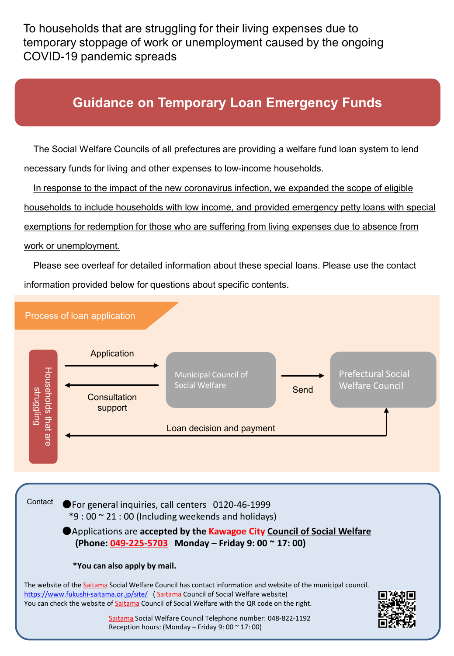To households that are struggling for their living expenses due to temporary stoppage of work or unemployment caused by the ongoing COVID-19 pandemic spreads

# **Guidance on Temporary Loan Emergency Funds**

The Social Welfare Councils of all prefectures are providing a welfare fund loan system to lend necessary funds for living and other expenses to low-income households.

In response to the impact of the new coronavirus infection, we expanded the scope of eligible households to include households with low income, and provided emergency petty loans with special exemptions for redemption for those who are suffering from living expenses due to absence from work or unemployment.

Please see overleaf for detailed information about these special loans. Please use the contact information provided below for questions about specific contents.



●For general inquiries, call centers 0120-46-1999  $*9:00 \approx 21:00$  (Including weekends and holidays) ●Applications are **accepted by the Kawagoe City Council of Social Welfare (Phone: 049-225-5703 Monday – Friday 9: 00 ~ 17: 00) \*You can also apply by mail.** The website of the **Saitama Social Welfare Council has contact information and website of the municipal council.** <https://www.fukushi-saitama.or.jp/site/> (Saitama Council of Social Welfare website) You can check the website of Saitama Council of Social Welfare with the QR code on the right. Saitama Social Welfare Council Telephone number: 048-822-1192 Reception hours: (Monday – Friday 9: 00  $\sim$  17: 00)